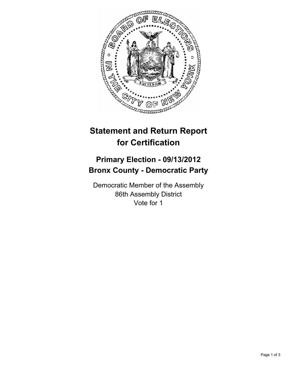

# **Statement and Return Report for Certification**

## **Primary Election - 09/13/2012 Bronx County - Democratic Party**

Democratic Member of the Assembly 86th Assembly District Vote for 1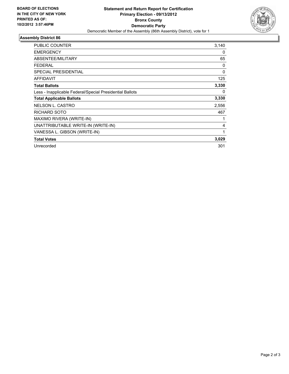

### **Assembly District 86**

| <b>PUBLIC COUNTER</b>                                    | 3,140       |
|----------------------------------------------------------|-------------|
| <b>EMERGENCY</b>                                         | 0           |
| ABSENTEE/MILITARY                                        | 65          |
| FEDERAL                                                  | 0           |
| SPECIAL PRESIDENTIAL                                     | $\mathbf 0$ |
| <b>AFFIDAVIT</b>                                         | 125         |
| <b>Total Ballots</b>                                     | 3,330       |
| Less - Inapplicable Federal/Special Presidential Ballots | 0           |
| <b>Total Applicable Ballots</b>                          | 3,330       |
| <b>NELSON L. CASTRO</b>                                  | 2,556       |
| RICHARD SOTO                                             | 467         |
| MAXIMO RIVERA (WRITE-IN)                                 |             |
| UNATTRIBUTABLE WRITE-IN (WRITE-IN)                       | 4           |
| VANESSA L. GIBSON (WRITE-IN)                             | 1           |
| <b>Total Votes</b>                                       | 3,029       |
| Unrecorded                                               | 301         |